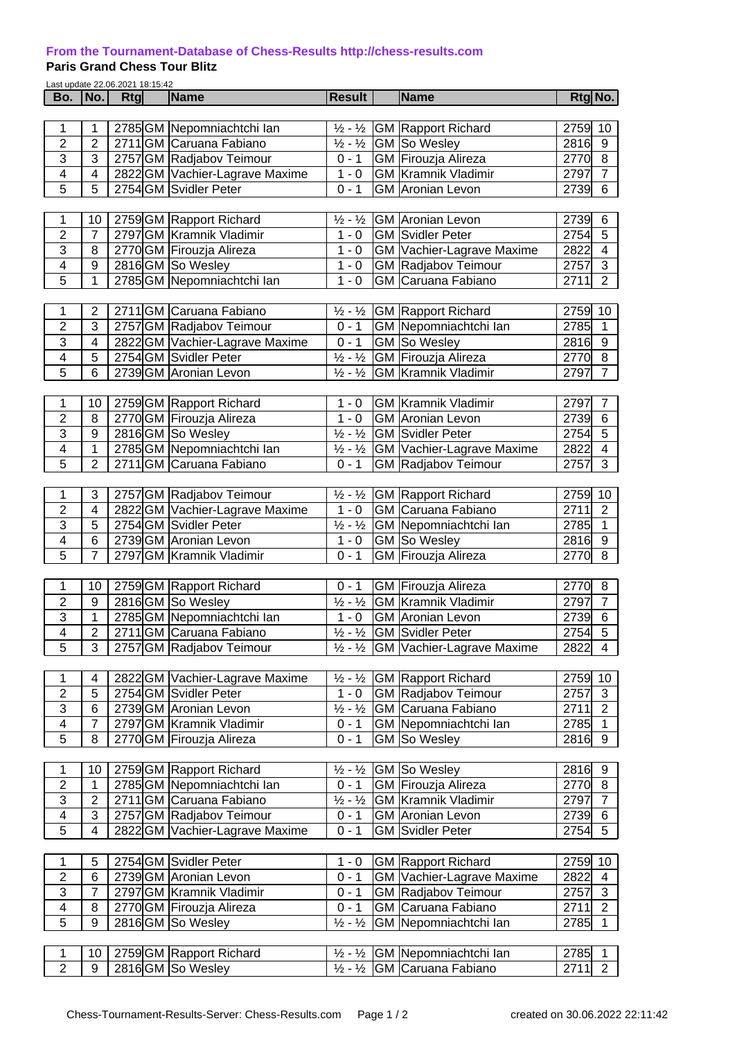## **[From the Tournament-Database of Chess-Results http://chess-results.com](http://chess-results.com/)**

## **Paris Grand Chess Tour Blitz**

| Last update 22.06.2021 18:15:42 |                            |     |  |                                |                               |  |                                                |        |                         |  |  |  |
|---------------------------------|----------------------------|-----|--|--------------------------------|-------------------------------|--|------------------------------------------------|--------|-------------------------|--|--|--|
| Bo.                             | No.                        | Rtg |  | Name                           | <b>Result</b>                 |  | <b>Name</b>                                    |        | Rtg No.                 |  |  |  |
|                                 |                            |     |  |                                |                               |  |                                                |        |                         |  |  |  |
| 1                               | 1                          |     |  | 2785 GM Nepomniachtchi Ian     | $\frac{1}{2} - \frac{1}{2}$   |  | <b>GM Rapport Richard</b>                      | 2759   | 10                      |  |  |  |
| $\overline{2}$                  | $\overline{2}$             |     |  | 2711 GM Caruana Fabiano        | $\frac{1}{2} - \frac{1}{2}$   |  | GM So Wesley                                   | 2816   | 9                       |  |  |  |
| 3                               | $\overline{3}$             |     |  | 2757 GM Radjabov Teimour       | $0 - 1$                       |  | <b>GM</b> Firouzja Alireza                     | 2770   | $\overline{8}$          |  |  |  |
| 4                               | $\overline{4}$             |     |  | 2822 GM Vachier-Lagrave Maxime | $1 - 0$                       |  | <b>GM</b> Kramnik Vladimir                     | 2797   | $\overline{7}$          |  |  |  |
| $\overline{5}$                  | $\overline{5}$             |     |  | 2754 GM Svidler Peter          | $0 - 1$                       |  | <b>GM</b> Aronian Levon                        | 2739   | $\overline{6}$          |  |  |  |
|                                 |                            |     |  |                                |                               |  |                                                |        |                         |  |  |  |
| 1                               | 10                         |     |  | 2759 GM Rapport Richard        | $\frac{1}{2} - \frac{1}{2}$   |  | <b>GM</b> Aronian Levon                        | 2739   | 6                       |  |  |  |
| $\overline{2}$                  | $\overline{7}$             |     |  | 2797 GM Kramnik Vladimir       | $1 - 0$                       |  | <b>GM Svidler Peter</b>                        | 2754   | 5                       |  |  |  |
| $\overline{3}$                  | $\overline{8}$             |     |  | 2770 GM Firouzja Alireza       | $1 - 0$                       |  | <b>GM Vachier-Lagrave Maxime</b>               | 2822   | $\overline{4}$          |  |  |  |
| $\overline{\mathbf{4}}$         | $\boldsymbol{9}$           |     |  | 2816GM So Wesley               | $1 - 0$                       |  | GM Radjabov Teimour                            | 2757   | $\overline{3}$          |  |  |  |
| $\overline{5}$                  | $\overline{1}$             |     |  |                                | $1 - 0$                       |  | <b>GM</b> Caruana Fabiano                      | 2711   | $\overline{2}$          |  |  |  |
|                                 | 2785 GM Nepomniachtchi lan |     |  |                                |                               |  |                                                |        |                         |  |  |  |
| 1                               | $\mathbf 2$                |     |  | 2711 GM Caruana Fabiano        | $\frac{1}{2}$ - $\frac{1}{2}$ |  | <b>GM Rapport Richard</b>                      | 2759   | 10                      |  |  |  |
| $\overline{2}$                  | 3                          |     |  |                                | $0 - 1$                       |  | GM Nepomniachtchi Ian                          | 2785   |                         |  |  |  |
| $\overline{3}$                  |                            |     |  | 2757 GM Radjabov Teimour       |                               |  |                                                |        | 1                       |  |  |  |
|                                 | $\overline{\mathbf{4}}$    |     |  | 2822 GM Vachier-Lagrave Maxime | $0 - 1$                       |  | GM So Wesley                                   | 2816   | $\boldsymbol{9}$        |  |  |  |
| $\overline{4}$                  | 5                          |     |  | 2754 GM Svidler Peter          | $\frac{1}{2} - \frac{1}{2}$   |  | GM Firouzja Alireza                            | 2770   | 8                       |  |  |  |
| $\overline{5}$                  | $\overline{6}$             |     |  | 2739 GM Aronian Levon          | $\frac{1}{2} - \frac{1}{2}$   |  | <b>GM</b> Kramnik Vladimir                     | 2797   | $\overline{7}$          |  |  |  |
|                                 |                            |     |  |                                |                               |  |                                                |        |                         |  |  |  |
| 1                               | 10                         |     |  | 2759 GM Rapport Richard        | $1 - 0$                       |  | <b>GM</b> Kramnik Vladimir                     | 2797   | $\overline{7}$          |  |  |  |
| $\overline{2}$                  | $\overline{\bf 8}$         |     |  | 2770 GM Firouzja Alireza       | $1 - 0$                       |  | <b>GM</b> Aronian Levon                        | 2739   | $6\phantom{1}6$         |  |  |  |
| $\overline{3}$                  | $\overline{9}$             |     |  | 2816 GM So Wesley              | $\frac{1}{2} - \frac{1}{2}$   |  | <b>GM</b> Svidler Peter                        | 2754   | $\overline{5}$          |  |  |  |
| $\overline{\mathbf{4}}$         | $\overline{1}$             |     |  | 2785 GM Nepomniachtchi Ian     | $\frac{1}{2} - \frac{1}{2}$   |  | <b>GM</b> Vachier-Lagrave Maxime               | 2822   | $\overline{\mathbf{4}}$ |  |  |  |
| $\overline{5}$                  | $\overline{2}$             |     |  | 2711 GM Caruana Fabiano        | $0 - 1$                       |  | GM Radjabov Teimour                            | 2757   | $\overline{3}$          |  |  |  |
|                                 |                            |     |  |                                |                               |  |                                                |        |                         |  |  |  |
| 1                               | $\ensuremath{\mathsf{3}}$  |     |  | 2757 GM Radjabov Teimour       | $\frac{1}{2} - \frac{1}{2}$   |  | <b>GM</b> Rapport Richard                      | 2759   | 10                      |  |  |  |
| $\overline{2}$                  | $\overline{\mathbf{4}}$    |     |  | 2822 GM Vachier-Lagrave Maxime | $1 - 0$                       |  | <b>GM</b> Caruana Fabiano                      | 2711   | $\overline{2}$          |  |  |  |
| $\overline{3}$                  | $\overline{5}$             |     |  | 2754 GM Svidler Peter          | $\frac{1}{2} - \frac{1}{2}$   |  | GM Nepomniachtchi lan                          | 2785   | $\overline{1}$          |  |  |  |
| $\overline{4}$                  | $\overline{6}$             |     |  | 2739 GM Aronian Levon          | $1 - 0$                       |  | GM So Wesley                                   | 2816   | $\overline{9}$          |  |  |  |
| $\overline{5}$                  | $\overline{\mathbf{7}}$    |     |  | 2797 GM Kramnik Vladimir       | $0 - 1$                       |  | <b>GM</b> Firouzja Alireza                     | 2770   | 8                       |  |  |  |
|                                 |                            |     |  |                                |                               |  |                                                |        |                         |  |  |  |
| 1                               | 10                         |     |  | 2759 GM Rapport Richard        | $0 - 1$                       |  | GM Firouzja Alireza                            | 2770   | 8                       |  |  |  |
| $\overline{2}$                  | 9                          |     |  | 2816 GM So Wesley              | $\frac{1}{2} - \frac{1}{2}$   |  | <b>GM</b> Kramnik Vladimir                     | 2797   | $\overline{7}$          |  |  |  |
| $\overline{3}$                  | 1                          |     |  | 2785 GM Nepomniachtchi Ian     | $1 - 0$                       |  | <b>GM</b> Aronian Levon                        | 2739   | $6\phantom{1}6$         |  |  |  |
| 4                               | $\overline{c}$             |     |  | 2711 GM Caruana Fabiano        |                               |  | $\frac{1}{2}$ - $\frac{1}{2}$ GM Svidler Peter | 2754   | $\sqrt{5}$              |  |  |  |
| $\overline{5}$                  | 3                          |     |  | 2757 GM Radjabov Teimour       | $\frac{1}{2} - \frac{1}{2}$   |  | <b>GM</b> Vachier-Lagrave Maxime               | 2822   | $\overline{4}$          |  |  |  |
|                                 |                            |     |  |                                |                               |  |                                                |        |                         |  |  |  |
| 1                               | 4                          |     |  | 2822 GM Vachier-Lagrave Maxime | $\frac{1}{2} - \frac{1}{2}$   |  | <b>GM Rapport Richard</b>                      | 2759   | 10                      |  |  |  |
| $\overline{2}$                  | $\overline{5}$             |     |  | 2754 GM Svidler Peter          | $1 - 0$                       |  | GM Radjabov Teimour                            | 2757   | $\overline{3}$          |  |  |  |
| $\ensuremath{\mathsf{3}}$       | 6                          |     |  | 2739 GM Aronian Levon          | $\frac{1}{2}$ - $\frac{1}{2}$ |  | GM Caruana Fabiano                             | 2711   | $\sqrt{2}$              |  |  |  |
| $\overline{\mathbf{4}}$         | $\overline{7}$             |     |  | 2797 GM Kramnik Vladimir       | $0 - 1$                       |  | <b>GM</b> Nepomniachtchi lan                   | 2785   | $\mathbf 1$             |  |  |  |
| $\overline{5}$                  | 8                          |     |  | 2770 GM Firouzja Alireza       | $0 - 1$                       |  | GM So Wesley                                   | 2816   | 9                       |  |  |  |
|                                 |                            |     |  |                                |                               |  |                                                |        |                         |  |  |  |
|                                 |                            |     |  |                                |                               |  |                                                |        |                         |  |  |  |
| 1                               | 10                         |     |  | 2759 GM Rapport Richard        | $\frac{1}{2} - \frac{1}{2}$   |  | GM So Wesley                                   | 2816   | 9                       |  |  |  |
| $\overline{2}$                  | 1                          |     |  | 2785 GM Nepomniachtchi Ian     | $0 - 1$                       |  | GM Firouzja Alireza                            | 2770 8 |                         |  |  |  |
| $\overline{3}$                  | $\mathbf 2$                |     |  | 2711 GM Caruana Fabiano        | $\frac{1}{2} - \frac{1}{2}$   |  | <b>GM Kramnik Vladimir</b>                     | 2797   | $\overline{7}$          |  |  |  |
| $\overline{4}$                  | 3                          |     |  | 2757 GM Radjabov Teimour       | $0 - 1$                       |  | GM Aronian Levon                               | 2739   | 6                       |  |  |  |
| $\overline{5}$                  | $\overline{\mathbf{4}}$    |     |  | 2822 GM Vachier-Lagrave Maxime | $0 - 1$                       |  | <b>GM Svidler Peter</b>                        | 2754   | 5                       |  |  |  |
|                                 |                            |     |  |                                |                               |  |                                                |        |                         |  |  |  |
| 1                               | 5                          |     |  | 2754 GM Svidler Peter          | 1 - 0                         |  | <b>GM Rapport Richard</b>                      | 2759   | 10                      |  |  |  |
| $\overline{2}$                  | 6                          |     |  | 2739 GM Aronian Levon          | $0 - 1$                       |  | GM Vachier-Lagrave Maxime                      | 2822   | 4                       |  |  |  |
| $\ensuremath{\mathsf{3}}$       | 7                          |     |  | 2797 GM Kramnik Vladimir       | $0 - 1$                       |  | GM Radjabov Teimour                            | 2757   | 3                       |  |  |  |
| $\overline{\mathbf{4}}$         | $\bf 8$                    |     |  | 2770 GM Firouzja Alireza       | $0 - 1$                       |  | GM Caruana Fabiano                             | 2711   | $\overline{2}$          |  |  |  |
| 5                               | $\overline{9}$             |     |  | 2816GM So Wesley               | $\frac{1}{2} - \frac{1}{2}$   |  | GM Nepomniachtchi Ian                          | 2785   | $\mathbf 1$             |  |  |  |
|                                 |                            |     |  |                                |                               |  |                                                |        |                         |  |  |  |
| 1                               | 10                         |     |  | 2759 GM Rapport Richard        | $\frac{1}{2} - \frac{1}{2}$   |  | GM Nepomniachtchi Ian                          | 2785   | $\mathbf{1}$            |  |  |  |
| $\overline{2}$                  | $\overline{9}$             |     |  | 2816GM So Wesley               | $\frac{1}{2} - \frac{1}{2}$   |  | GM Caruana Fabiano                             | 2711   | $\overline{2}$          |  |  |  |
|                                 |                            |     |  |                                |                               |  |                                                |        |                         |  |  |  |